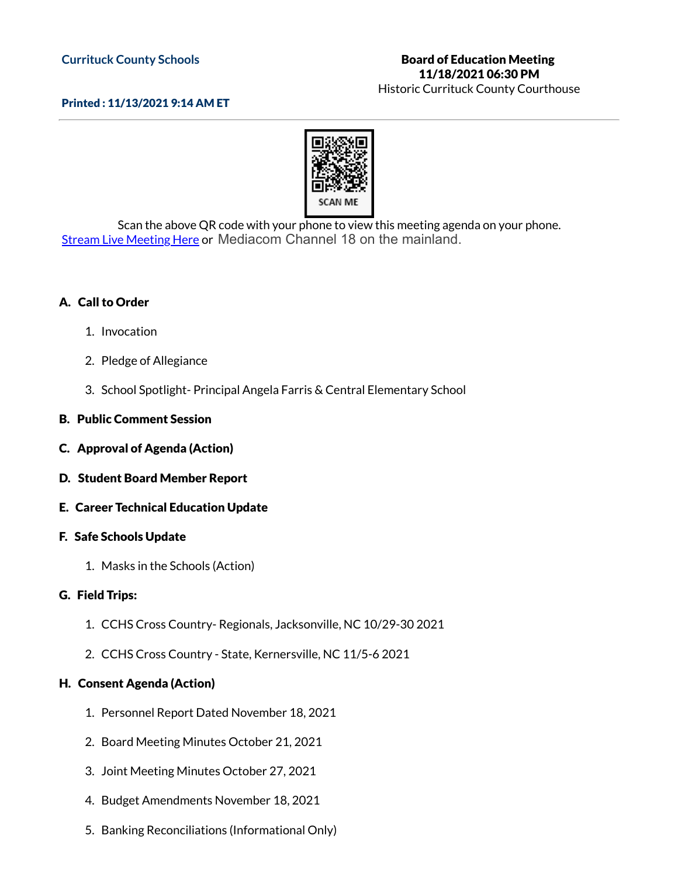## **Currituck County Schools**

# Board of Education Meeting 11/18/2021 06:30 PM

Historic Currituck County Courthouse

## Printed : 11/13/2021 9:14 AM ET



Scan the above QR code with your phone to view this meeting agenda on your phone. Stream Live [Meeting](http://currituckcountync.iqm2.com/Citizens/default.aspx) Here or Mediacom Channel 18 on the mainland.

## A. Call to Order

- 1. Invocation
- 2. Pledge of Allegiance
- 3. School Spotlight- Principal Angela Farris & Central Elementary School

### B. Public Comment Session

- C. Approval of Agenda (Action)
- D. Student Board Member Report
- E. Career Technical Education Update

#### F. Safe Schools Update

1. Masks in the Schools (Action)

#### G. Field Trips:

- 1. CCHS Cross Country- Regionals, Jacksonville, NC 10/29-30 2021
- 2. CCHS Cross Country State, Kernersville, NC 11/5-6 2021

#### H. Consent Agenda (Action)

- 1. Personnel Report Dated November 18, 2021
- 2. Board Meeting Minutes October 21, 2021
- 3. Joint Meeting Minutes October 27, 2021
- 4. Budget Amendments November 18, 2021
- 5. Banking Reconciliations (Informational Only)